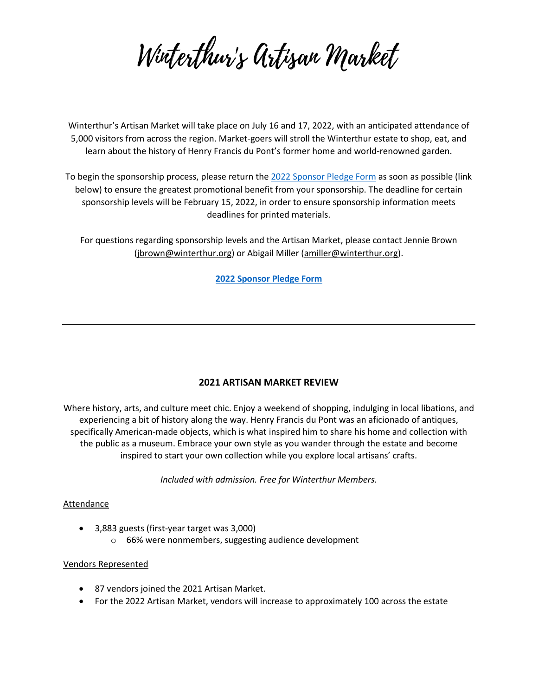Wirterthur's Artisan Market

Winterthur's Artisan Market will take place on July 16 and 17, 2022, with an anticipated attendance of 5,000 visitors from across the region. Market-goers will stroll the Winterthur estate to shop, eat, and learn about the history of Henry Francis du Pont's former home and world-renowned garden.

To begin the sponsorship process, please return th[e 2022 Sponsor Pledge Form](https://docs.google.com/forms/d/e/1FAIpQLSft8_LLYCXF9x93XJJkSVK__PXUzEaHyldGsdkHwmBolvylTg/viewform) as soon as possible (link below) to ensure the greatest promotional benefit from your sponsorship. The deadline for certain sponsorship levels will be February 15, 2022, in order to ensure sponsorship information meets deadlines for printed materials.

For questions regarding sponsorship levels and the Artisan Market, please contact Jennie Brown [\(jbrown@winterthur.org\)](mailto:jbrown@winterthur.org) or Abigail Miller [\(amiller@winterthur.org\)](mailto:amiller@winterthur.org).

**[2022 Sponsor Pledge Form](https://docs.google.com/forms/d/e/1FAIpQLSft8_LLYCXF9x93XJJkSVK__PXUzEaHyldGsdkHwmBolvylTg/viewform)**

### **2021 ARTISAN MARKET REVIEW**

Where history, arts, and culture meet chic. Enjoy a weekend of shopping, indulging in local libations, and experiencing a bit of history along the way. Henry Francis du Pont was an aficionado of antiques, specifically American-made objects, which is what inspired him to share his home and collection with the public as a museum. Embrace your own style as you wander through the estate and become inspired to start your own collection while you explore local artisans' crafts.

*Included with admission. Free for Winterthur Members.*

### Attendance

- 3,883 guests (first-year target was 3,000)
	- o 66% were nonmembers, suggesting audience development

### Vendors Represented

- 87 vendors joined the 2021 Artisan Market.
- For the 2022 Artisan Market, vendors will increase to approximately 100 across the estate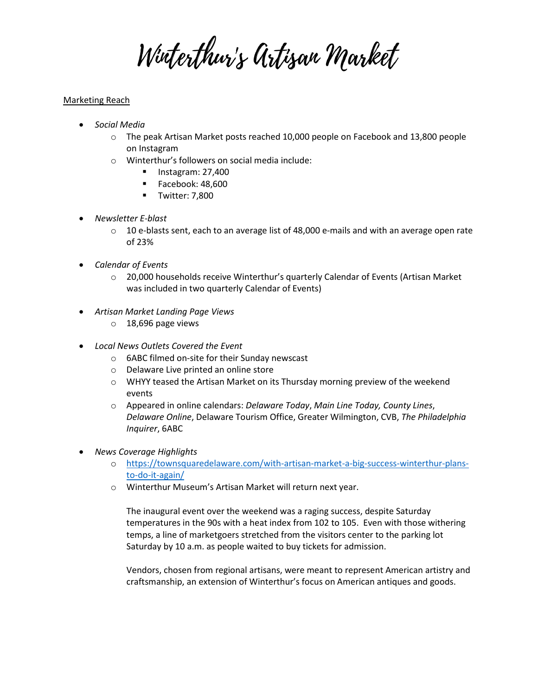Wirterthur's Artisan Market

## Marketing Reach

- *Social Media*
	- $\circ$  The peak Artisan Market posts reached 10,000 people on Facebook and 13,800 people on Instagram
	- o Winterthur's followers on social media include:
		- $\blacksquare$  Instagram: 27,400
		- Facebook: 48,600
		- **Twitter: 7,800**
- *Newsletter E-blast*
	- $\circ$  10 e-blasts sent, each to an average list of 48,000 e-mails and with an average open rate of 23%
- *Calendar of Events*
	- $\circ$  20,000 households receive Winterthur's quarterly Calendar of Events (Artisan Market was included in two quarterly Calendar of Events)
- *Artisan Market Landing Page Views*
	- o 18,696 page views
- *Local News Outlets Covered the Event*
	- o 6ABC filmed on-site for their Sunday newscast
	- o Delaware Live printed an online store
	- o WHYY teased the Artisan Market on its Thursday morning preview of the weekend events
	- o Appeared in online calendars: *Delaware Today*, *Main Line Today, County Lines*, *Delaware Online*, Delaware Tourism Office, Greater Wilmington, CVB, *The Philadelphia Inquirer*, 6ABC
- *News Coverage Highlights*
	- o [https://townsquaredelaware.com/with-artisan-market-a-big-success-winterthur-plans](https://townsquaredelaware.com/with-artisan-market-a-big-success-winterthur-plans-to-do-it-again/)[to-do-it-again/](https://townsquaredelaware.com/with-artisan-market-a-big-success-winterthur-plans-to-do-it-again/)
	- o Winterthur Museum's Artisan Market will return next year.

The inaugural event over the weekend was a raging success, despite Saturday temperatures in the 90s with a heat index from 102 to 105. Even with those withering temps, a line of marketgoers stretched from the visitors center to the parking lot Saturday by 10 a.m. as people waited to buy tickets for admission.

Vendors, chosen from regional artisans, were meant to represent American artistry and craftsmanship, an extension of Winterthur's focus on American antiques and goods.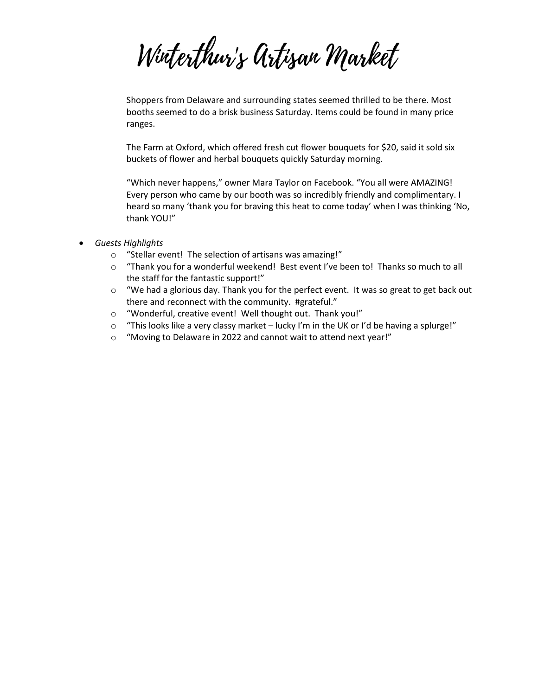Wirterthur's Artisan Market

Shoppers from Delaware and surrounding states seemed thrilled to be there. Most booths seemed to do a brisk business Saturday. Items could be found in many price ranges.

The Farm at Oxford, which offered fresh cut flower bouquets for \$20, said it sold six buckets of flower and herbal bouquets quickly Saturday morning.

"Which never happens," owner Mara Taylor on Facebook. "You all were AMAZING! Every person who came by our booth was so incredibly friendly and complimentary. I heard so many 'thank you for braving this heat to come today' when I was thinking 'No, thank YOU!"

- *Guests Highlights*
	- o "Stellar event! The selection of artisans was amazing!"
	- $\circ$  "Thank you for a wonderful weekend! Best event I've been to! Thanks so much to all the staff for the fantastic support!"
	- o "We had a glorious day. Thank you for the perfect event. It was so great to get back out there and reconnect with the community. #grateful."
	- o "Wonderful, creative event! Well thought out. Thank you!"
	- $\circ$  "This looks like a very classy market lucky I'm in the UK or I'd be having a splurge!"
	- o "Moving to Delaware in 2022 and cannot wait to attend next year!"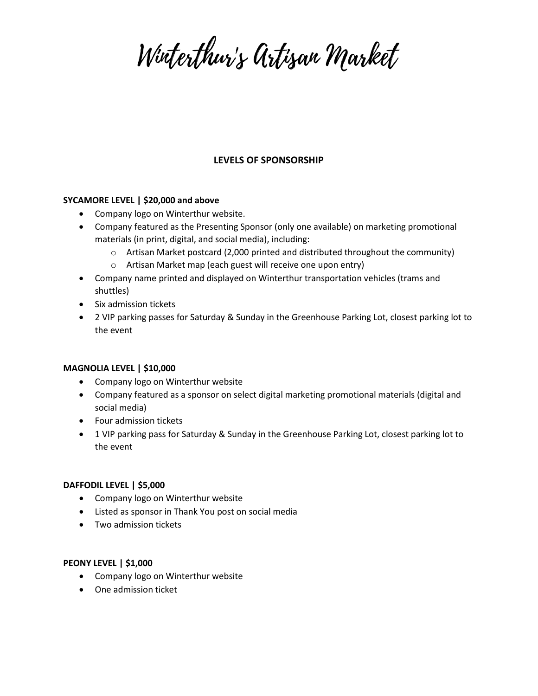Wirterthur's Artisan Market

# **LEVELS OF SPONSORSHIP**

### **SYCAMORE LEVEL | \$20,000 and above**

- Company logo on Winterthur website.
- Company featured as the Presenting Sponsor (only one available) on marketing promotional materials (in print, digital, and social media), including:
	- $\circ$  Artisan Market postcard (2,000 printed and distributed throughout the community)
	- o Artisan Market map (each guest will receive one upon entry)
- Company name printed and displayed on Winterthur transportation vehicles (trams and shuttles)
- Six admission tickets
- 2 VIP parking passes for Saturday & Sunday in the Greenhouse Parking Lot, closest parking lot to the event

### **MAGNOLIA LEVEL | \$10,000**

- Company logo on Winterthur website
- Company featured as a sponsor on select digital marketing promotional materials (digital and social media)
- Four admission tickets
- 1 VIP parking pass for Saturday & Sunday in the Greenhouse Parking Lot, closest parking lot to the event

### **DAFFODIL LEVEL | \$5,000**

- Company logo on Winterthur website
- Listed as sponsor in Thank You post on social media
- Two admission tickets

### **PEONY LEVEL | \$1,000**

- Company logo on Winterthur website
- One admission ticket